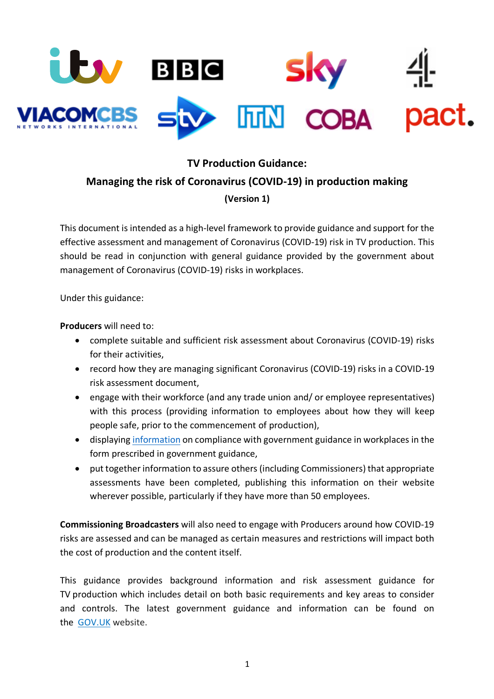

# **TV Production Guidance:**

## **Managing the risk of Coronavirus (COVID-19) in production making**

### **(Version 1)**

This document is intended as a high-level framework to provide guidance and support for the effective assessment and management of Coronavirus (COVID-19) risk in TV production. This should be read in conjunction with general guidance provided by the government about management of Coronavirus (COVID-19) risks in workplaces.

Under this guidance:

**Producers** will need to:

- complete suitable and sufficient risk assessment about Coronavirus (COVID-19) risks for their activities,
- record how they are managing significant Coronavirus (COVID-19) risks in a COVID-19 risk assessment document,
- engage with their workforce (and any trade union and/ or employee representatives) with this process (providing information to employees about how they will keep people safe, prior to the commencement of production),
- displaying information on compliance with government guidance in workplaces in the form prescribed in government guidance,
- put together information to assure others (including Commissioners) that appropriate assessments have been completed, publishing this information on their website wherever possible, particularly if they have more than 50 employees.

**Commissioning Broadcasters** will also need to engage with Producers around how COVID-19 risks are assessed and can be managed as certain measures and restrictions will impact both the cost of production and the content itself.

This guidance provides background information and risk assessment guidance for TV production which includes detail on both basic requirements and key areas to consider and controls. The latest government guidance and information can be found on the GOV.UK website.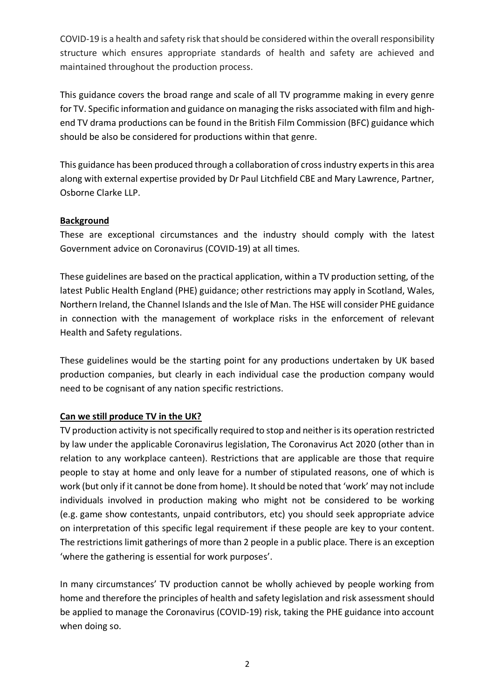COVID-19 is a health and safety risk that should be considered within the overall responsibility structure which ensures appropriate standards of health and safety are achieved and maintained throughout the production process.

This guidance covers the broad range and scale of all TV programme making in every genre for TV. Specific information and guidance on managing the risks associated with film and highend TV drama productions can be found in the British Film Commission (BFC) guidance which should be also be considered for productions within that genre.

This guidance has been produced through a collaboration of cross industry experts in this area along with external expertise provided by Dr Paul Litchfield CBE and Mary Lawrence, Partner, Osborne Clarke LLP.

## **Background**

These are exceptional circumstances and the industry should comply with the latest Government advice on Coronavirus (COVID-19) at all times.

These guidelines are based on the practical application, within a TV production setting, of the latest Public Health England (PHE) guidance; other restrictions may apply in Scotland, Wales, Northern Ireland, the Channel Islands and the Isle of Man. The HSE will consider PHE guidance in connection with the management of workplace risks in the enforcement of relevant Health and Safety regulations.

These guidelines would be the starting point for any productions undertaken by UK based production companies, but clearly in each individual case the production company would need to be cognisant of any nation specific restrictions.

### **Can we still produce TV in the UK?**

TV production activity is not specifically required to stop and neither is its operation restricted by law under the applicable Coronavirus legislation, The Coronavirus Act 2020 (other than in relation to any workplace canteen). Restrictions that are applicable are those that require people to stay at home and only leave for a number of stipulated reasons, one of which is work (but only if it cannot be done from home). It should be noted that 'work' may not include individuals involved in production making who might not be considered to be working (e.g. game show contestants, unpaid contributors, etc) you should seek appropriate advice on interpretation of this specific legal requirement if these people are key to your content. The restrictions limit gatherings of more than 2 people in a public place. There is an exception 'where the gathering is essential for work purposes'.

In many circumstances' TV production cannot be wholly achieved by people working from home and therefore the principles of health and safety legislation and risk assessment should be applied to manage the Coronavirus (COVID-19) risk, taking the PHE guidance into account when doing so.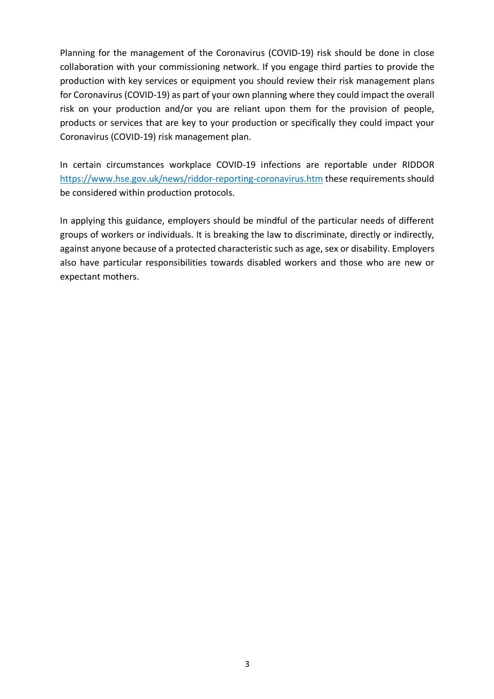Planning for the management of the Coronavirus (COVID-19) risk should be done in close collaboration with your commissioning network. If you engage third parties to provide the production with key services or equipment you should review their risk management plans for Coronavirus (COVID-19) as part of your own planning where they could impact the overall risk on your production and/or you are reliant upon them for the provision of people, products or services that are key to your production or specifically they could impact your Coronavirus (COVID-19) risk management plan.

In certain circumstances workplace COVID-19 infections are reportable under RIDDOR https://www.hse.gov.uk/news/riddor-reporting-coronavirus.htm these requirements should be considered within production protocols.

In applying this guidance, employers should be mindful of the particular needs of different groups of workers or individuals. It is breaking the law to discriminate, directly or indirectly, against anyone because of a protected characteristic such as age, sex or disability. Employers also have particular responsibilities towards disabled workers and those who are new or expectant mothers.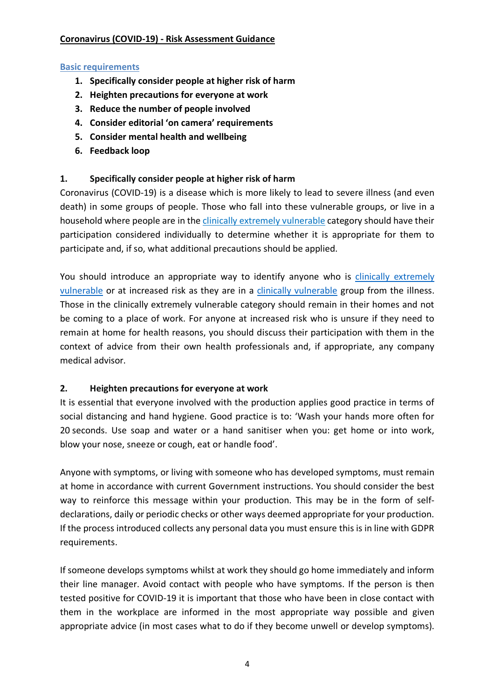## **Coronavirus (COVID-19) - Risk Assessment Guidance**

### **Basic requirements**

- **1. Specifically consider people at higher risk of harm**
- **2. Heighten precautions for everyone at work**
- **3. Reduce the number of people involved**
- **4. Consider editorial 'on camera' requirements**
- **5. Consider mental health and wellbeing**
- **6. Feedback loop**

## **1. Specifically consider people at higher risk of harm**

Coronavirus (COVID-19) is a disease which is more likely to lead to severe illness (and even death) in some groups of people. Those who fall into these vulnerable groups, or live in a household where people are in the clinically extremely vulnerable category should have their participation considered individually to determine whether it is appropriate for them to participate and, if so, what additional precautions should be applied.

You should introduce an appropriate way to identify anyone who is clinically extremely vulnerable or at increased risk as they are in a clinically vulnerable group from the illness. Those in the clinically extremely vulnerable category should remain in their homes and not be coming to a place of work. For anyone at increased risk who is unsure if they need to remain at home for health reasons, you should discuss their participation with them in the context of advice from their own health professionals and, if appropriate, any company medical advisor.

### **2. Heighten precautions for everyone at work**

It is essential that everyone involved with the production applies good practice in terms of social distancing and hand hygiene. Good practice is to: 'Wash your hands more often for 20 seconds. Use soap and water or a hand sanitiser when you: get home or into work, blow your nose, sneeze or cough, eat or handle food'.

Anyone with symptoms, or living with someone who has developed symptoms, must remain at home in accordance with current Government instructions. You should consider the best way to reinforce this message within your production. This may be in the form of selfdeclarations, daily or periodic checks or other ways deemed appropriate for your production. If the process introduced collects any personal data you must ensure this is in line with GDPR requirements.

If someone develops symptoms whilst at work they should go home immediately and inform their line manager. Avoid contact with people who have symptoms. If the person is then tested positive for COVID-19 it is important that those who have been in close contact with them in the workplace are informed in the most appropriate way possible and given appropriate advice (in most cases what to do if they become unwell or develop symptoms).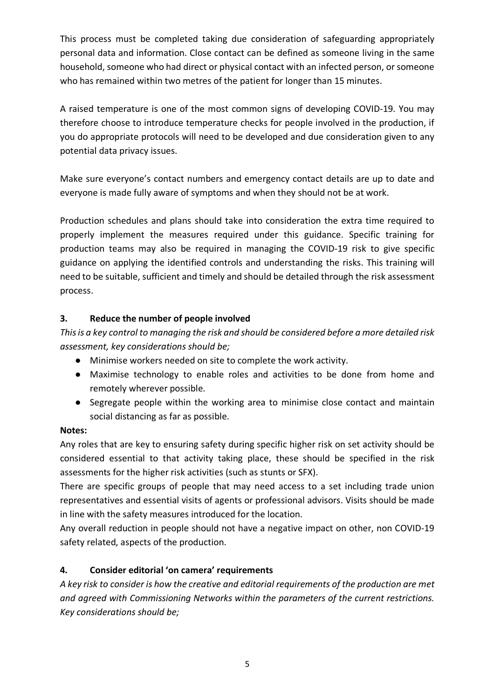This process must be completed taking due consideration of safeguarding appropriately personal data and information. Close contact can be defined as someone living in the same household, someone who had direct or physical contact with an infected person, or someone who has remained within two metres of the patient for longer than 15 minutes.

A raised temperature is one of the most common signs of developing COVID-19. You may therefore choose to introduce temperature checks for people involved in the production, if you do appropriate protocols will need to be developed and due consideration given to any potential data privacy issues.

Make sure everyone's contact numbers and emergency contact details are up to date and everyone is made fully aware of symptoms and when they should not be at work.

Production schedules and plans should take into consideration the extra time required to properly implement the measures required under this guidance. Specific training for production teams may also be required in managing the COVID-19 risk to give specific guidance on applying the identified controls and understanding the risks. This training will need to be suitable, sufficient and timely and should be detailed through the risk assessment process.

## **3. Reduce the number of people involved**

*This is a key control to managing the risk and should be considered before a more detailed risk assessment, key considerations should be;*

- Minimise workers needed on site to complete the work activity.
- Maximise technology to enable roles and activities to be done from home and remotely wherever possible.
- Segregate people within the working area to minimise close contact and maintain social distancing as far as possible.

#### **Notes:**

Any roles that are key to ensuring safety during specific higher risk on set activity should be considered essential to that activity taking place, these should be specified in the risk assessments for the higher risk activities (such as stunts or SFX).

There are specific groups of people that may need access to a set including trade union representatives and essential visits of agents or professional advisors. Visits should be made in line with the safety measures introduced for the location.

Any overall reduction in people should not have a negative impact on other, non COVID-19 safety related, aspects of the production.

### **4. Consider editorial 'on camera' requirements**

*A key risk to consider is how the creative and editorial requirements of the production are met and agreed with Commissioning Networks within the parameters of the current restrictions. Key considerations should be;*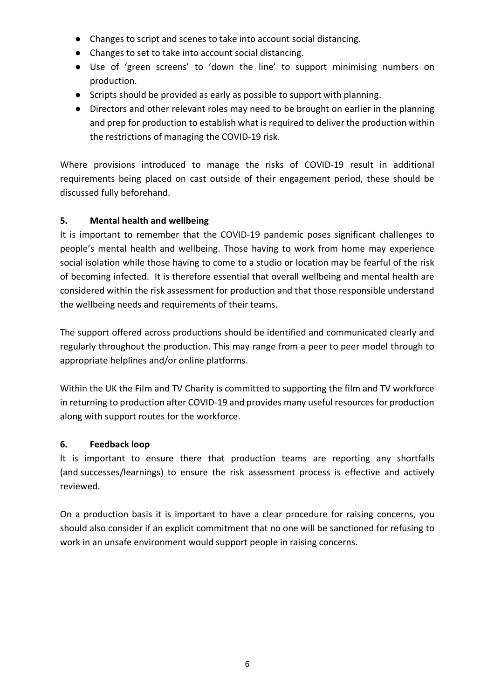- Changes to script and scenes to take into account social distancing.
- Changes to set to take into account social distancing.
- Use of 'green screens' to 'down the line' to support minimising numbers on production.
- Scripts should be provided as early as possible to support with planning.
- Directors and other relevant roles may need to be brought on earlier in the planning and prep for production to establish what is required to deliver the production within the restrictions of managing the COVID-19 risk.

Where provisions introduced to manage the risks of COVID-19 result in additional requirements being placed on cast outside of their engagement period, these should be discussed fully beforehand.

## **5. Mental health and wellbeing**

It is important to remember that the COVID-19 pandemic poses significant challenges to people's mental health and wellbeing. Those having to work from home may experience social isolation while those having to come to a studio or location may be fearful of the risk of becoming infected. It is therefore essential that overall wellbeing and mental health are considered within the risk assessment for production and that those responsible understand the wellbeing needs and requirements of their teams.

The support offered across productions should be identified and communicated clearly and regularly throughout the production. This may range from a peer to peer model through to appropriate helplines and/or online platforms.

Within the UK the Film and TV Charity is committed to supporting the film and TV workforce in returning to production after COVID-19 and provides many useful resources for production along with support routes for the workforce.

### **6. Feedback loop**

It is important to ensure there that production teams are reporting any shortfalls (and successes/learnings) to ensure the risk assessment process is effective and actively reviewed.

On a production basis it is important to have a clear procedure for raising concerns, you should also consider if an explicit commitment that no one will be sanctioned for refusing to work in an unsafe environment would support people in raising concerns.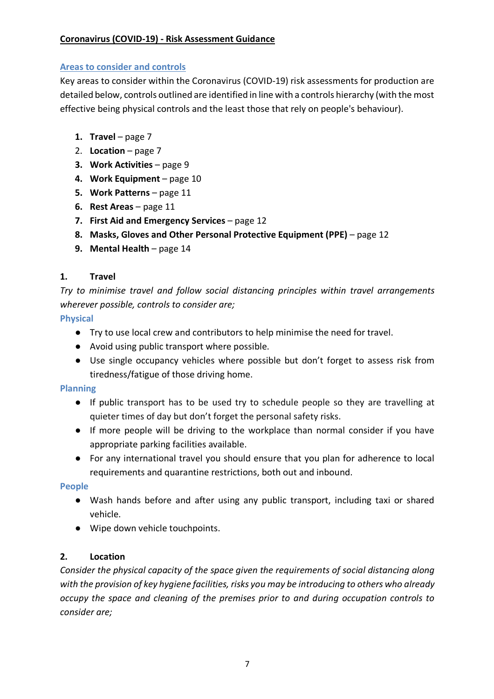## **Coronavirus (COVID-19) - Risk Assessment Guidance**

### **Areas to consider and controls**

Key areas to consider within the Coronavirus (COVID-19) risk assessments for production are detailed below, controls outlined are identified in line with a controls hierarchy (with the most effective being physical controls and the least those that rely on people's behaviour).

- **1. Travel** page 7
- 2. **Location** page 7
- **3. Work Activities** page 9
- **4. Work Equipment** page 10
- **5. Work Patterns** page 11
- **6. Rest Areas** page 11
- **7. First Aid and Emergency Services** page 12
- **8. Masks, Gloves and Other Personal Protective Equipment (PPE)** page 12
- **9. Mental Health** page 14

## **1. Travel**

*Try to minimise travel and follow social distancing principles within travel arrangements wherever possible, controls to consider are;*

**Physical**

- Try to use local crew and contributors to help minimise the need for travel.
- Avoid using public transport where possible.
- Use single occupancy vehicles where possible but don't forget to assess risk from tiredness/fatigue of those driving home.

### **Planning**

- If public transport has to be used try to schedule people so they are travelling at quieter times of day but don't forget the personal safety risks.
- If more people will be driving to the workplace than normal consider if you have appropriate parking facilities available.
- For any international travel you should ensure that you plan for adherence to local requirements and quarantine restrictions, both out and inbound.

### **People**

- Wash hands before and after using any public transport, including taxi or shared vehicle.
- Wipe down vehicle touchpoints.

### **2. Location**

*Consider the physical capacity of the space given the requirements of social distancing along with the provision of key hygiene facilities, risks you may be introducing to others who already occupy the space and cleaning of the premises prior to and during occupation controls to consider are;*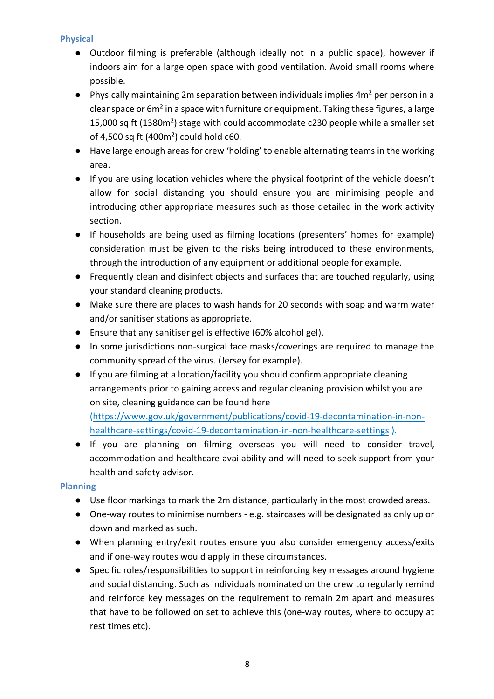## **Physical**

- Outdoor filming is preferable (although ideally not in a public space), however if indoors aim for a large open space with good ventilation. Avoid small rooms where possible.
- Physically maintaining 2m separation between individuals implies 4m<sup>2</sup> per person in a clear space or 6m² in a space with furniture or equipment. Taking these figures, a large 15,000 sq ft (1380m²) stage with could accommodate c230 people while a smaller set of 4,500 sq ft (400m²) could hold c60.
- Have large enough areas for crew 'holding' to enable alternating teams in the working area.
- If you are using location vehicles where the physical footprint of the vehicle doesn't allow for social distancing you should ensure you are minimising people and introducing other appropriate measures such as those detailed in the work activity section.
- If households are being used as filming locations (presenters' homes for example) consideration must be given to the risks being introduced to these environments, through the introduction of any equipment or additional people for example.
- Frequently clean and disinfect objects and surfaces that are touched regularly, using your standard cleaning products.
- Make sure there are places to wash hands for 20 seconds with soap and warm water and/or sanitiser stations as appropriate.
- Ensure that any sanitiser gel is effective (60% alcohol gel).
- In some jurisdictions non-surgical face masks/coverings are required to manage the community spread of the virus. (Jersey for example).
- If you are filming at a location/facility you should confirm appropriate cleaning arrangements prior to gaining access and regular cleaning provision whilst you are on site, cleaning guidance can be found here

(https://www.gov.uk/government/publications/covid-19-decontamination-in-nonhealthcare-settings/covid-19-decontamination-in-non-healthcare-settings ).

● If you are planning on filming overseas you will need to consider travel, accommodation and healthcare availability and will need to seek support from your health and safety advisor.

## **Planning**

- Use floor markings to mark the 2m distance, particularly in the most crowded areas.
- One-way routes to minimise numbers e.g. staircases will be designated as only up or down and marked as such.
- When planning entry/exit routes ensure you also consider emergency access/exits and if one-way routes would apply in these circumstances.
- Specific roles/responsibilities to support in reinforcing key messages around hygiene and social distancing. Such as individuals nominated on the crew to regularly remind and reinforce key messages on the requirement to remain 2m apart and measures that have to be followed on set to achieve this (one-way routes, where to occupy at rest times etc).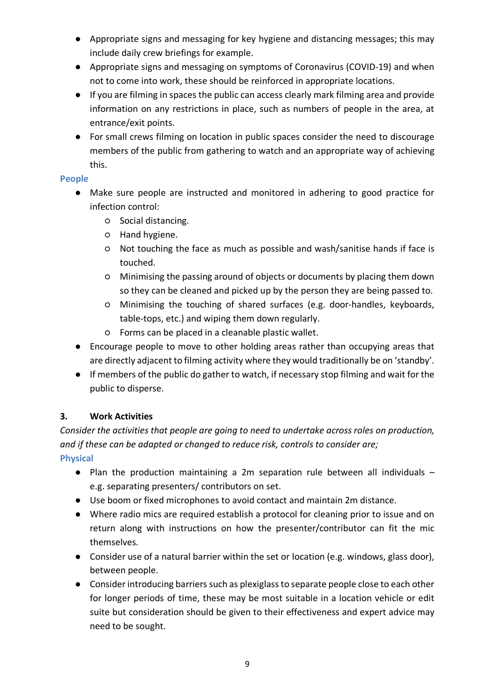- Appropriate signs and messaging for key hygiene and distancing messages; this may include daily crew briefings for example.
- Appropriate signs and messaging on symptoms of Coronavirus (COVID-19) and when not to come into work, these should be reinforced in appropriate locations.
- If you are filming in spaces the public can access clearly mark filming area and provide information on any restrictions in place, such as numbers of people in the area, at entrance/exit points.
- For small crews filming on location in public spaces consider the need to discourage members of the public from gathering to watch and an appropriate way of achieving this.

## **People**

- Make sure people are instructed and monitored in adhering to good practice for infection control:
	- Social distancing.
	- Hand hygiene.
	- Not touching the face as much as possible and wash/sanitise hands if face is touched.
	- Minimising the passing around of objects or documents by placing them down so they can be cleaned and picked up by the person they are being passed to.
	- Minimising the touching of shared surfaces (e.g. door-handles, keyboards, table-tops, etc.) and wiping them down regularly.
	- Forms can be placed in a cleanable plastic wallet.
- Encourage people to move to other holding areas rather than occupying areas that are directly adjacent to filming activity where they would traditionally be on 'standby'.
- If members of the public do gather to watch, if necessary stop filming and wait for the public to disperse.

## **3. Work Activities**

*Consider the activities that people are going to need to undertake across roles on production, and if these can be adapted or changed to reduce risk, controls to consider are;* **Physical**

- Plan the production maintaining a 2m separation rule between all individuals e.g. separating presenters/ contributors on set.
- Use boom or fixed microphones to avoid contact and maintain 2m distance.
- Where radio mics are required establish a protocol for cleaning prior to issue and on return along with instructions on how the presenter/contributor can fit the mic themselves.
- Consider use of a natural barrier within the set or location (e.g. windows, glass door), between people.
- Consider introducing barriers such as plexiglass to separate people close to each other for longer periods of time, these may be most suitable in a location vehicle or edit suite but consideration should be given to their effectiveness and expert advice may need to be sought.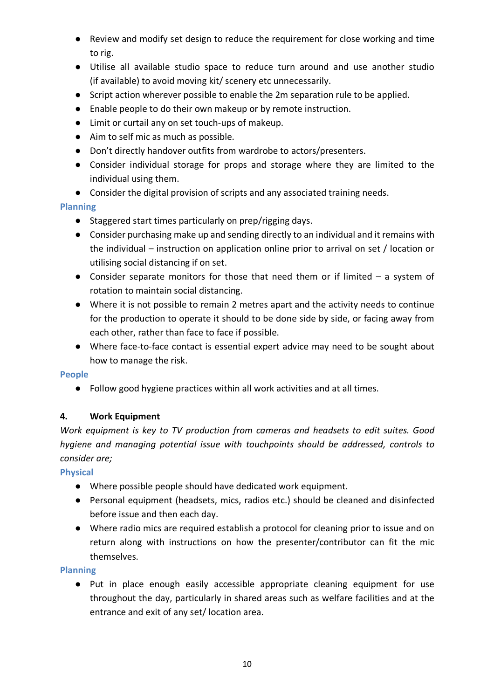- Review and modify set design to reduce the requirement for close working and time to rig.
- Utilise all available studio space to reduce turn around and use another studio (if available) to avoid moving kit/ scenery etc unnecessarily.
- Script action wherever possible to enable the 2m separation rule to be applied.
- Enable people to do their own makeup or by remote instruction.
- Limit or curtail any on set touch-ups of makeup.
- Aim to self mic as much as possible.
- Don't directly handover outfits from wardrobe to actors/presenters.
- Consider individual storage for props and storage where they are limited to the individual using them.
- Consider the digital provision of scripts and any associated training needs.

## **Planning**

- Staggered start times particularly on prep/rigging days.
- Consider purchasing make up and sending directly to an individual and it remains with the individual – instruction on application online prior to arrival on set / location or utilising social distancing if on set.
- Consider separate monitors for those that need them or if limited  $-$  a system of rotation to maintain social distancing.
- Where it is not possible to remain 2 metres apart and the activity needs to continue for the production to operate it should to be done side by side, or facing away from each other, rather than face to face if possible.
- Where face-to-face contact is essential expert advice may need to be sought about how to manage the risk.

### **People**

● Follow good hygiene practices within all work activities and at all times.

## **4. Work Equipment**

*Work equipment is key to TV production from cameras and headsets to edit suites. Good hygiene and managing potential issue with touchpoints should be addressed, controls to consider are;*

### **Physical**

- Where possible people should have dedicated work equipment.
- Personal equipment (headsets, mics, radios etc.) should be cleaned and disinfected before issue and then each day.
- Where radio mics are required establish a protocol for cleaning prior to issue and on return along with instructions on how the presenter/contributor can fit the mic themselves.

### **Planning**

● Put in place enough easily accessible appropriate cleaning equipment for use throughout the day, particularly in shared areas such as welfare facilities and at the entrance and exit of any set/ location area.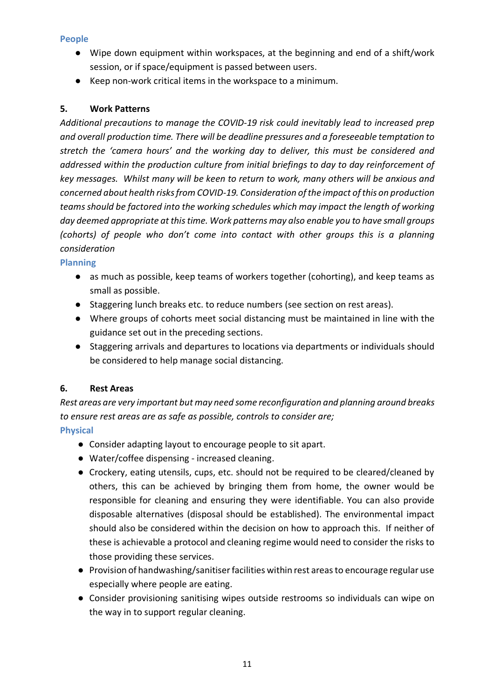## **People**

- Wipe down equipment within workspaces, at the beginning and end of a shift/work session, or if space/equipment is passed between users.
- Keep non-work critical items in the workspace to a minimum.

## **5. Work Patterns**

*Additional precautions to manage the COVID-19 risk could inevitably lead to increased prep and overall production time. There will be deadline pressures and a foreseeable temptation to stretch the 'camera hours' and the working day to deliver, this must be considered and addressed within the production culture from initial briefings to day to day reinforcement of key messages. Whilst many will be keen to return to work, many others will be anxious and concerned about health risks from COVID-19. Consideration of the impact of this on production teams should be factored into the working schedules which may impact the length of working day deemed appropriate at this time. Work patterns may also enable you to have small groups (cohorts) of people who don't come into contact with other groups this is a planning consideration*

### **Planning**

- as much as possible, keep teams of workers together (cohorting), and keep teams as small as possible.
- Staggering lunch breaks etc. to reduce numbers (see section on rest areas).
- Where groups of cohorts meet social distancing must be maintained in line with the guidance set out in the preceding sections.
- Staggering arrivals and departures to locations via departments or individuals should be considered to help manage social distancing.

## **6. Rest Areas**

*Rest areas are very important but may need some reconfiguration and planning around breaks to ensure rest areas are as safe as possible, controls to consider are;*

## **Physical**

- Consider adapting layout to encourage people to sit apart.
- Water/coffee dispensing increased cleaning.
- Crockery, eating utensils, cups, etc. should not be required to be cleared/cleaned by others, this can be achieved by bringing them from home, the owner would be responsible for cleaning and ensuring they were identifiable. You can also provide disposable alternatives (disposal should be established). The environmental impact should also be considered within the decision on how to approach this. If neither of these is achievable a protocol and cleaning regime would need to consider the risks to those providing these services.
- Provision of handwashing/sanitiser facilities within rest areas to encourage regular use especially where people are eating.
- Consider provisioning sanitising wipes outside restrooms so individuals can wipe on the way in to support regular cleaning.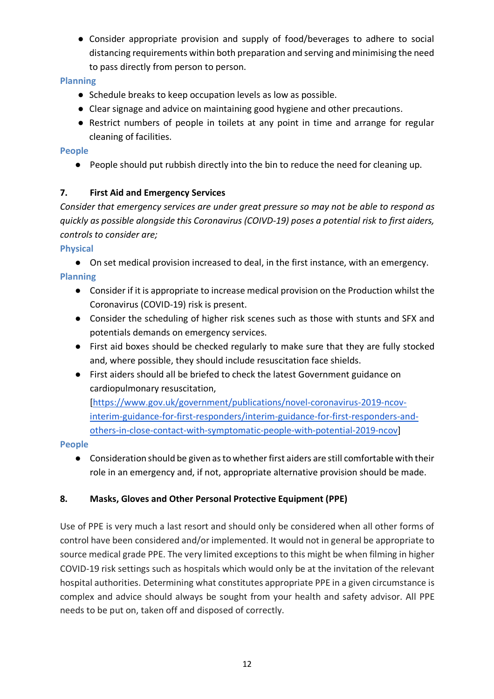● Consider appropriate provision and supply of food/beverages to adhere to social distancing requirements within both preparation and serving and minimising the need to pass directly from person to person.

## **Planning**

- Schedule breaks to keep occupation levels as low as possible.
- Clear signage and advice on maintaining good hygiene and other precautions.
- Restrict numbers of people in toilets at any point in time and arrange for regular cleaning of facilities.

## **People**

● People should put rubbish directly into the bin to reduce the need for cleaning up.

## **7. First Aid and Emergency Services**

*Consider that emergency services are under great pressure so may not be able to respond as quickly as possible alongside this Coronavirus (COIVD-19) poses a potential risk to first aiders, controls to consider are;*

**Physical**

- On set medical provision increased to deal, in the first instance, with an emergency. **Planning**
	- Consider if it is appropriate to increase medical provision on the Production whilst the Coronavirus (COVID-19) risk is present.
	- Consider the scheduling of higher risk scenes such as those with stunts and SFX and potentials demands on emergency services.
	- First aid boxes should be checked regularly to make sure that they are fully stocked and, where possible, they should include resuscitation face shields.
	- First aiders should all be briefed to check the latest Government guidance on cardiopulmonary resuscitation,

[https://www.gov.uk/government/publications/novel-coronavirus-2019-ncovinterim-guidance-for-first-responders/interim-guidance-for-first-responders-andothers-in-close-contact-with-symptomatic-people-with-potential-2019-ncov]

## **People**

● Consideration should be given as to whether first aiders are still comfortable with their role in an emergency and, if not, appropriate alternative provision should be made.

# **8. Masks, Gloves and Other Personal Protective Equipment (PPE)**

Use of PPE is very much a last resort and should only be considered when all other forms of control have been considered and/or implemented. It would not in general be appropriate to source medical grade PPE. The very limited exceptions to this might be when filming in higher COVID-19 risk settings such as hospitals which would only be at the invitation of the relevant hospital authorities. Determining what constitutes appropriate PPE in a given circumstance is complex and advice should always be sought from your health and safety advisor. All PPE needs to be put on, taken off and disposed of correctly.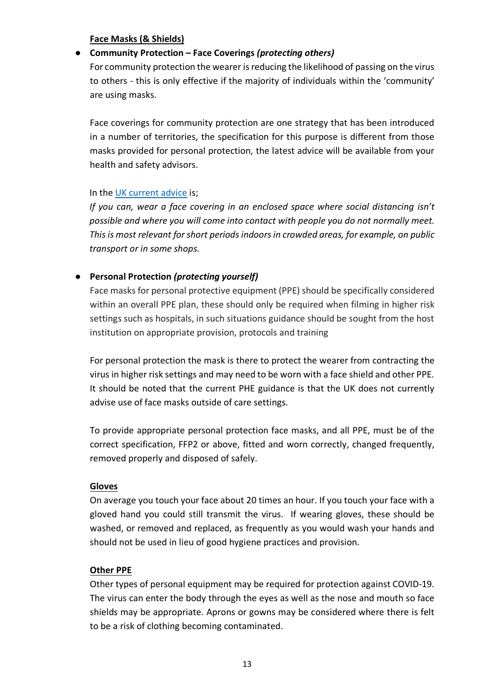**Face Masks (& Shields)**

### ● **Community Protection – Face Coverings** *(protecting others)*

For community protection the wearer is reducing the likelihood of passing on the virus to others - this is only effective if the majority of individuals within the 'community' are using masks.

Face coverings for community protection are one strategy that has been introduced in a number of territories, the specification for this purpose is different from those masks provided for personal protection, the latest advice will be available from your health and safety advisors.

#### In the UK current advice is;

*If you can, wear a face covering in an enclosed space where social distancing isn't possible and where you will come into contact with people you do not normally meet. This is most relevant for short periods indoors in crowded areas, for example, on public transport or in some shops.*

## ● **Personal Protection** *(protecting yourself)*

Face masks for personal protective equipment (PPE) should be specifically considered within an overall PPE plan, these should only be required when filming in higher risk settings such as hospitals, in such situations guidance should be sought from the host institution on appropriate provision, protocols and training

For personal protection the mask is there to protect the wearer from contracting the virus in higher risk settings and may need to be worn with a face shield and other PPE. It should be noted that the current PHE guidance is that the UK does not currently advise use of face masks outside of care settings.

To provide appropriate personal protection face masks, and all PPE, must be of the correct specification, FFP2 or above, fitted and worn correctly, changed frequently, removed properly and disposed of safely.

#### **Gloves**

On average you touch your face about 20 times an hour. If you touch your face with a gloved hand you could still transmit the virus. If wearing gloves, these should be washed, or removed and replaced, as frequently as you would wash your hands and should not be used in lieu of good hygiene practices and provision.

### **Other PPE**

Other types of personal equipment may be required for protection against COVID-19. The virus can enter the body through the eyes as well as the nose and mouth so face shields may be appropriate. Aprons or gowns may be considered where there is felt to be a risk of clothing becoming contaminated.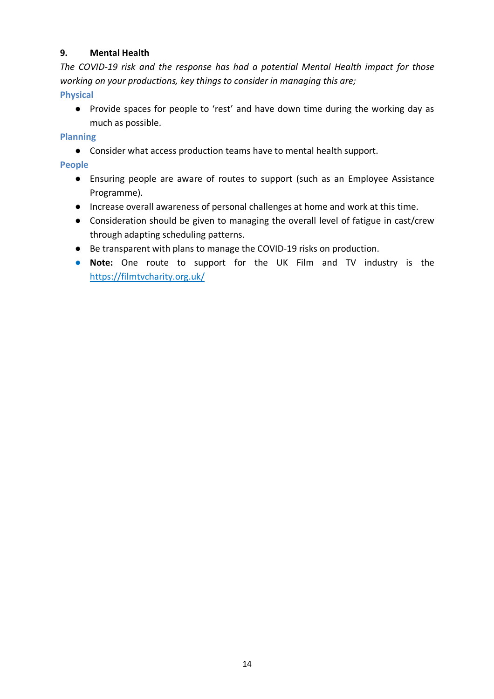## **9. Mental Health**

*The COVID-19 risk and the response has had a potential Mental Health impact for those working on your productions, key things to consider in managing this are;*

**Physical**

● Provide spaces for people to 'rest' and have down time during the working day as much as possible.

**Planning**

● Consider what access production teams have to mental health support.

**People**

- Ensuring people are aware of routes to support (such as an Employee Assistance Programme).
- Increase overall awareness of personal challenges at home and work at this time.
- Consideration should be given to managing the overall level of fatigue in cast/crew through adapting scheduling patterns.
- Be transparent with plans to manage the COVID-19 risks on production.
- **Note:** One route to support for the UK Film and TV industry is the https://filmtvcharity.org.uk/